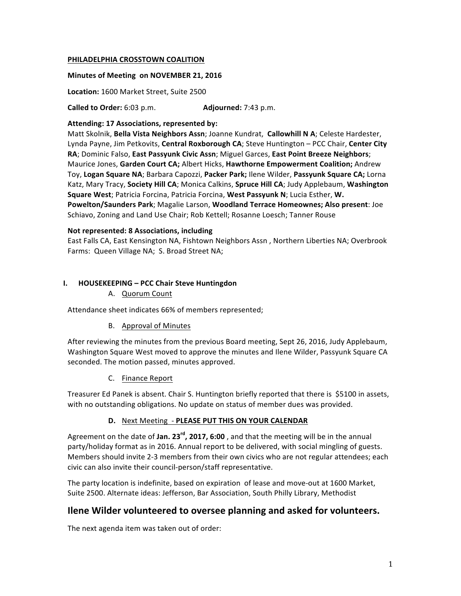#### **PHILADELPHIA CROSSTOWN COALITION**

#### **Minutes of Meeting on NOVEMBER 21, 2016**

Location: 1600 Market Street, Suite 2500

**Called to Order:** 6:03 p.m. **Adjourned:** 7:43 p.m.

#### Attending: 17 Associations, represented by:

Matt Skolnik, Bella Vista Neighbors Assn; Joanne Kundrat, Callowhill N A; Celeste Hardester, Lynda Payne, Jim Petkovits, Central Roxborough CA; Steve Huntington - PCC Chair, Center City RA; Dominic Falso, East Passyunk Civic Assn; Miguel Garces, East Point Breeze Neighbors; **Maurice Jones, Garden Court CA; Albert Hicks, Hawthorne Empowerment Coalition; Andrew** Toy, Logan Square NA; Barbara Capozzi, Packer Park; llene Wilder, Passyunk Square CA; Lorna Katz, Mary Tracy, Society Hill CA; Monica Calkins, Spruce Hill CA; Judy Applebaum, Washington **Square West**; Patricia Forcina, Patricia Forcina, West Passyunk N; Lucia Esther, W. **Powelton/Saunders Park**; Magalie Larson, **Woodland Terrace Homeownes; Also present**: Joe Schiavo, Zoning and Land Use Chair; Rob Kettell; Rosanne Loesch; Tanner Rouse

#### **Not represented: 8 Associations, including**

East Falls CA, East Kensington NA, Fishtown Neighbors Assn, Northern Liberties NA; Overbrook Farms: Queen Village NA; S. Broad Street NA;

#### **I. HOUSEKEEPING – PCC Chair Steve Huntingdon**

A. Quorum Count

Attendance sheet indicates 66% of members represented;

## B. Approval of Minutes

After reviewing the minutes from the previous Board meeting, Sept 26, 2016, Judy Applebaum, Washington Square West moved to approve the minutes and Ilene Wilder, Passyunk Square CA seconded. The motion passed, minutes approved.

C. Finance Report

Treasurer Ed Panek is absent. Chair S. Huntington briefly reported that there is \$5100 in assets, with no outstanding obligations. No update on status of member dues was provided.

## **D.** Next Meeting - PLEASE PUT THIS ON YOUR CALENDAR

Agreement on the date of **Jan. 23<sup>rd</sup>, 2017, 6:00**, and that the meeting will be in the annual party/holiday format as in 2016. Annual report to be delivered, with social mingling of guests. Members should invite 2-3 members from their own civics who are not regular attendees; each civic can also invite their council-person/staff representative.

The party location is indefinite, based on expiration of lease and move-out at 1600 Market, Suite 2500. Alternate ideas: Jefferson, Bar Association, South Philly Library, Methodist

# **Ilene Wilder volunteered to oversee planning and asked for volunteers.**

The next agenda item was taken out of order: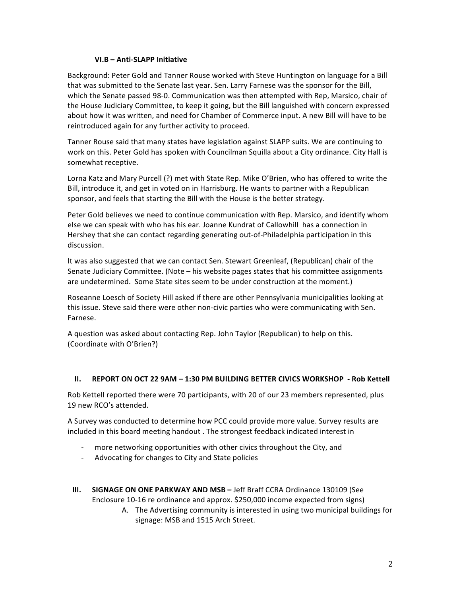## **VI.B – Anti-SLAPP Initiative**

Background: Peter Gold and Tanner Rouse worked with Steve Huntington on language for a Bill that was submitted to the Senate last year. Sen. Larry Farnese was the sponsor for the Bill, which the Senate passed 98-0. Communication was then attempted with Rep, Marsico, chair of the House Judiciary Committee, to keep it going, but the Bill languished with concern expressed about how it was written, and need for Chamber of Commerce input. A new Bill will have to be reintroduced again for any further activity to proceed.

Tanner Rouse said that many states have legislation against SLAPP suits. We are continuing to work on this. Peter Gold has spoken with Councilman Squilla about a City ordinance. City Hall is somewhat receptive.

Lorna Katz and Mary Purcell (?) met with State Rep. Mike O'Brien, who has offered to write the Bill, introduce it, and get in voted on in Harrisburg. He wants to partner with a Republican sponsor, and feels that starting the Bill with the House is the better strategy.

Peter Gold believes we need to continue communication with Rep. Marsico, and identify whom else we can speak with who has his ear. Joanne Kundrat of Callowhill has a connection in Hershey that she can contact regarding generating out-of-Philadelphia participation in this discussion. 

It was also suggested that we can contact Sen. Stewart Greenleaf, (Republican) chair of the Senate Judiciary Committee. (Note – his website pages states that his committee assignments are undetermined. Some State sites seem to be under construction at the moment.)

Roseanne Loesch of Society Hill asked if there are other Pennsylvania municipalities looking at this issue. Steve said there were other non-civic parties who were communicating with Sen. Farnese. 

A question was asked about contacting Rep. John Taylor (Republican) to help on this. (Coordinate with O'Brien?)

## **II.** REPORT ON OCT 22 9AM – 1:30 PM BUILDING BETTER CIVICS WORKSHOP - Rob Kettell

Rob Kettell reported there were 70 participants, with 20 of our 23 members represented, plus 19 new RCO's attended.

A Survey was conducted to determine how PCC could provide more value. Survey results are included in this board meeting handout . The strongest feedback indicated interest in

- more networking opportunities with other civics throughout the City, and
- Advocating for changes to City and State policies
- **III. SIGNAGE ON ONE PARKWAY AND MSB** Jeff Braff CCRA Ordinance 130109 (See Enclosure 10-16 re ordinance and approx. \$250,000 income expected from signs)
	- A. The Advertising community is interested in using two municipal buildings for signage: MSB and 1515 Arch Street.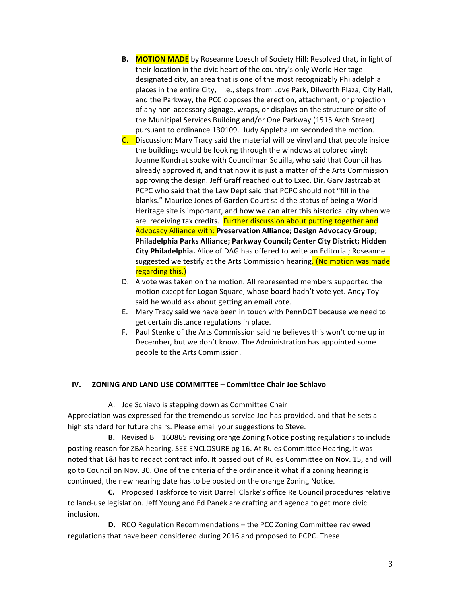- **B.** MOTION MADE by Roseanne Loesch of Society Hill: Resolved that, in light of their location in the civic heart of the country's only World Heritage designated city, an area that is one of the most recognizably Philadelphia places in the entire City, i.e., steps from Love Park, Dilworth Plaza, City Hall, and the Parkway, the PCC opposes the erection, attachment, or projection of any non-accessory signage, wraps, or displays on the structure or site of the Municipal Services Building and/or One Parkway (1515 Arch Street) pursuant to ordinance 130109. Judy Applebaum seconded the motion.
- C. Discussion: Mary Tracy said the material will be vinyl and that people inside the buildings would be looking through the windows at colored vinyl; Joanne Kundrat spoke with Councilman Squilla, who said that Council has already approved it, and that now it is just a matter of the Arts Commission approving the design. Jeff Graff reached out to Exec. Dir. Gary Jastrzab at PCPC who said that the Law Dept said that PCPC should not "fill in the blanks." Maurice Jones of Garden Court said the status of being a World Heritage site is important, and how we can alter this historical city when we are receiving tax credits. Further discussion about putting together and Advocacy Alliance with: Preservation Alliance; Design Advocacy Group; **Philadelphia Parks Alliance; Parkway Council; Center City District; Hidden City Philadelphia.** Alice of DAG has offered to write an Editorial; Roseanne suggested we testify at the Arts Commission hearing. (No motion was made regarding this.)
- D. A vote was taken on the motion. All represented members supported the motion except for Logan Square, whose board hadn't vote yet. Andy Toy said he would ask about getting an email vote.
- E. Mary Tracy said we have been in touch with PennDOT because we need to get certain distance regulations in place.
- F. Paul Stenke of the Arts Commission said he believes this won't come up in December, but we don't know. The Administration has appointed some people to the Arts Commission.

## **IV. ZONING AND LAND USE COMMITTEE - Committee Chair Joe Schiavo**

## A. Joe Schiavo is stepping down as Committee Chair

Appreciation was expressed for the tremendous service Joe has provided, and that he sets a high standard for future chairs. Please email your suggestions to Steve.

**B.** Revised Bill 160865 revising orange Zoning Notice posting regulations to include posting reason for ZBA hearing. SEE ENCLOSURE pg 16. At Rules Committee Hearing, it was noted that L&I has to redact contract info. It passed out of Rules Committee on Nov. 15, and will go to Council on Nov. 30. One of the criteria of the ordinance it what if a zoning hearing is continued, the new hearing date has to be posted on the orange Zoning Notice.

**C.** Proposed Taskforce to visit Darrell Clarke's office Re Council procedures relative to land-use legislation. Jeff Young and Ed Panek are crafting and agenda to get more civic inclusion.

**D.** RCO Regulation Recommendations - the PCC Zoning Committee reviewed regulations that have been considered during 2016 and proposed to PCPC. These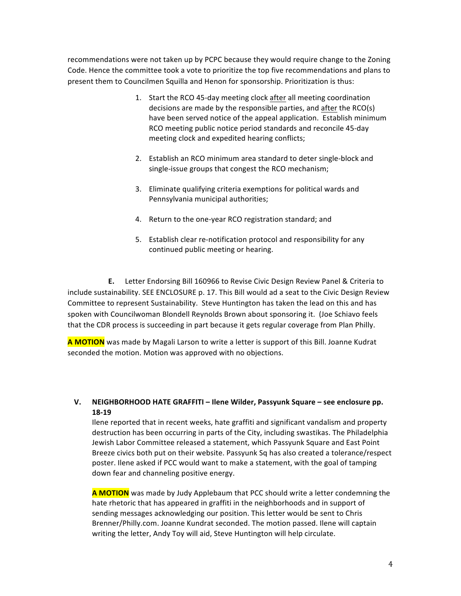recommendations were not taken up by PCPC because they would require change to the Zoning Code. Hence the committee took a vote to prioritize the top five recommendations and plans to present them to Councilmen Squilla and Henon for sponsorship. Prioritization is thus:

- 1. Start the RCO 45-day meeting clock after all meeting coordination decisions are made by the responsible parties, and after the  $RCO(s)$ have been served notice of the appeal application. Establish minimum RCO meeting public notice period standards and reconcile 45-day meeting clock and expedited hearing conflicts;
- 2. Establish an RCO minimum area standard to deter single-block and single-issue groups that congest the RCO mechanism;
- 3. Eliminate qualifying criteria exemptions for political wards and Pennsylvania municipal authorities;
- 4. Return to the one-year RCO registration standard; and
- 5. Establish clear re-notification protocol and responsibility for any continued public meeting or hearing.

**E.** Letter Endorsing Bill 160966 to Revise Civic Design Review Panel & Criteria to include sustainability. SEE ENCLOSURE p. 17. This Bill would ad a seat to the Civic Design Review Committee to represent Sustainability. Steve Huntington has taken the lead on this and has spoken with Councilwoman Blondell Reynolds Brown about sponsoring it. (Joe Schiavo feels that the CDR process is succeeding in part because it gets regular coverage from Plan Philly.

**A MOTION** was made by Magali Larson to write a letter is support of this Bill. Joanne Kudrat seconded the motion. Motion was approved with no objections.

## **V.** NEIGHBORHOOD HATE GRAFFITI – Ilene Wilder, Passyunk Square – see enclosure pp. **18-19**

Ilene reported that in recent weeks, hate graffiti and significant vandalism and property destruction has been occurring in parts of the City, including swastikas. The Philadelphia Jewish Labor Committee released a statement, which Passyunk Square and East Point Breeze civics both put on their website. Passyunk Sq has also created a tolerance/respect poster. Ilene asked if PCC would want to make a statement, with the goal of tamping down fear and channeling positive energy.

**A MOTION** was made by Judy Applebaum that PCC should write a letter condemning the hate rhetoric that has appeared in graffiti in the neighborhoods and in support of sending messages acknowledging our position. This letter would be sent to Chris Brenner/Philly.com. Joanne Kundrat seconded. The motion passed. Ilene will captain writing the letter, Andy Toy will aid, Steve Huntington will help circulate.